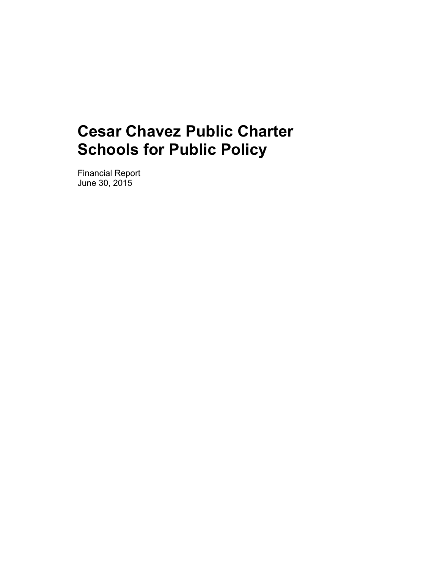Financial Report June 30, 2015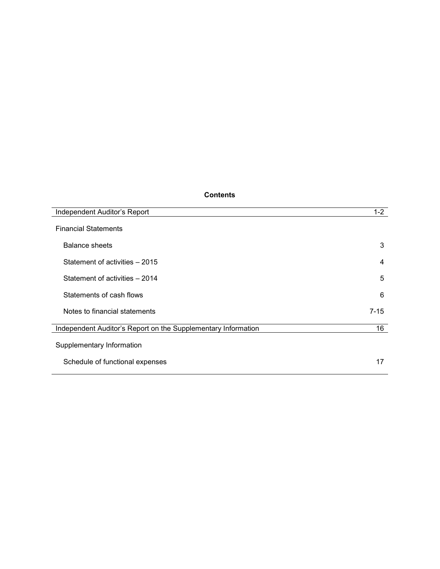# **Contents**

| Independent Auditor's Report                                  | $1-2$ |
|---------------------------------------------------------------|-------|
| <b>Financial Statements</b>                                   |       |
| Balance sheets                                                | 3     |
| Statement of activities – 2015                                | 4     |
| Statement of activities - 2014                                | 5     |
| Statements of cash flows                                      | 6     |
| Notes to financial statements                                 | 7-15  |
| Independent Auditor's Report on the Supplementary Information | 16    |
| Supplementary Information                                     |       |
| Schedule of functional expenses                               | 17    |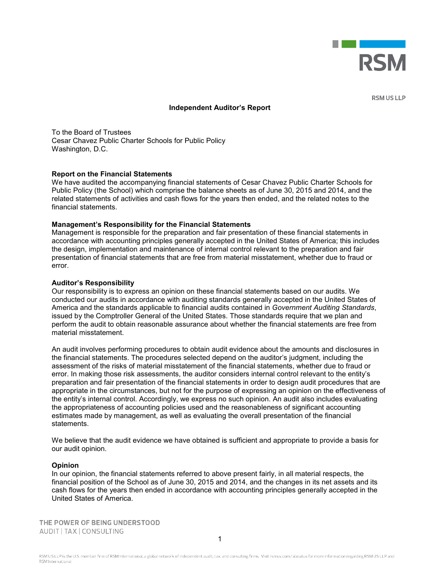

**RSM US LLP** 

#### **Independent Auditor's Report**

To the Board of Trustees Cesar Chavez Public Charter Schools for Public Policy Washington, D.C.

#### **Report on the Financial Statements**

We have audited the accompanying financial statements of Cesar Chavez Public Charter Schools for Public Policy (the School) which comprise the balance sheets as of June 30, 2015 and 2014, and the related statements of activities and cash flows for the years then ended, and the related notes to the financial statements.

#### **Management's Responsibility for the Financial Statements**

Management is responsible for the preparation and fair presentation of these financial statements in accordance with accounting principles generally accepted in the United States of America; this includes the design, implementation and maintenance of internal control relevant to the preparation and fair presentation of financial statements that are free from material misstatement, whether due to fraud or error.

#### **Auditor's Responsibility**

Our responsibility is to express an opinion on these financial statements based on our audits. We conducted our audits in accordance with auditing standards generally accepted in the United States of America and the standards applicable to financial audits contained in *Government Auditing Standards*, issued by the Comptroller General of the United States. Those standards require that we plan and perform the audit to obtain reasonable assurance about whether the financial statements are free from material misstatement.

An audit involves performing procedures to obtain audit evidence about the amounts and disclosures in the financial statements. The procedures selected depend on the auditor's judgment, including the assessment of the risks of material misstatement of the financial statements, whether due to fraud or error. In making those risk assessments, the auditor considers internal control relevant to the entity's preparation and fair presentation of the financial statements in order to design audit procedures that are appropriate in the circumstances, but not for the purpose of expressing an opinion on the effectiveness of the entity's internal control. Accordingly, we express no such opinion. An audit also includes evaluating the appropriateness of accounting policies used and the reasonableness of significant accounting estimates made by management, as well as evaluating the overall presentation of the financial statements.

We believe that the audit evidence we have obtained is sufficient and appropriate to provide a basis for our audit opinion.

#### **Opinion**

In our opinion, the financial statements referred to above present fairly, in all material respects, the financial position of the School as of June 30, 2015 and 2014, and the changes in its net assets and its cash flows for the years then ended in accordance with accounting principles generally accepted in the United States of America.

THE POWER OF BEING UNDERSTOOD AUDIT | TAX | CONSULTING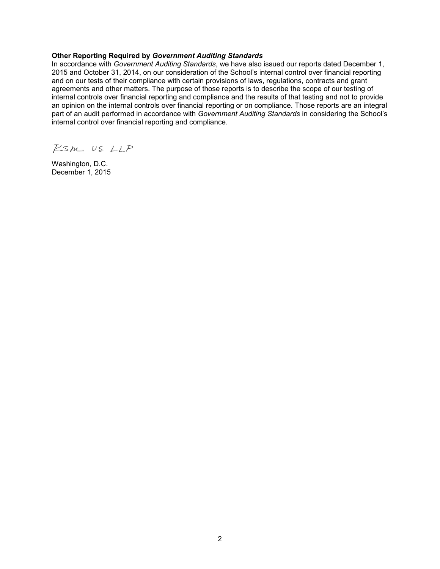#### **Other Reporting Required by** *Government Auditing Standards*

In accordance with *Government Auditing Standards*, we have also issued our reports dated December 1, 2015 and October 31, 2014, on our consideration of the School's internal control over financial reporting and on our tests of their compliance with certain provisions of laws, regulations, contracts and grant agreements and other matters. The purpose of those reports is to describe the scope of our testing of internal controls over financial reporting and compliance and the results of that testing and not to provide an opinion on the internal controls over financial reporting or on compliance. Those reports are an integral part of an audit performed in accordance with *Government Auditing Standards* in considering the School's internal control over financial reporting and compliance.

RSM. US LLP

Washington, D.C. December 1, 2015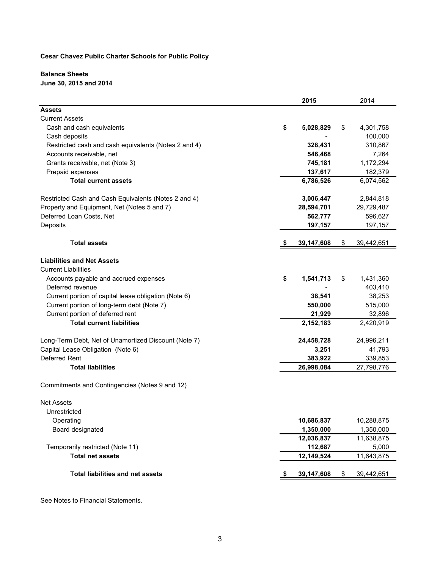# **Balance Sheets**

**June 30, 2015 and 2014**

|                                                      | 2015            | 2014             |
|------------------------------------------------------|-----------------|------------------|
| <b>Assets</b>                                        |                 |                  |
| <b>Current Assets</b>                                |                 |                  |
| Cash and cash equivalents                            | \$<br>5,028,829 | \$<br>4,301,758  |
| Cash deposits                                        |                 | 100,000          |
| Restricted cash and cash equivalents (Notes 2 and 4) | 328,431         | 310,867          |
| Accounts receivable, net                             | 546,468         | 7,264            |
| Grants receivable, net (Note 3)                      | 745,181         | 1,172,294        |
| Prepaid expenses                                     | 137,617         | 182,379          |
| <b>Total current assets</b>                          | 6,786,526       | 6,074,562        |
| Restricted Cash and Cash Equivalents (Notes 2 and 4) | 3,006,447       | 2,844,818        |
| Property and Equipment, Net (Notes 5 and 7)          | 28,594,701      | 29,729,487       |
| Deferred Loan Costs, Net                             | 562,777         | 596,627          |
| Deposits                                             | 197,157         | 197,157          |
| <b>Total assets</b>                                  | 39,147,608      | \$<br>39,442,651 |
| <b>Liabilities and Net Assets</b>                    |                 |                  |
| <b>Current Liabilities</b>                           |                 |                  |
| Accounts payable and accrued expenses                | \$<br>1,541,713 | \$<br>1,431,360  |
| Deferred revenue                                     |                 | 403,410          |
| Current portion of capital lease obligation (Note 6) | 38,541          | 38,253           |
| Current portion of long-term debt (Note 7)           | 550,000         | 515,000          |
| Current portion of deferred rent                     | 21,929          | 32,896           |
| <b>Total current liabilities</b>                     | 2,152,183       | 2,420,919        |
| Long-Term Debt, Net of Unamortized Discount (Note 7) | 24,458,728      | 24,996,211       |
| Capital Lease Obligation (Note 6)                    | 3,251           | 41,793           |
| Deferred Rent                                        | 383,922         | 339,853          |
| <b>Total liabilities</b>                             | 26,998,084      | 27,798,776       |
| Commitments and Contingencies (Notes 9 and 12)       |                 |                  |
| <b>Net Assets</b>                                    |                 |                  |
| Unrestricted                                         |                 |                  |
| Operating                                            | 10,686,837      | 10,288,875       |
| Board designated                                     | 1,350,000       | 1,350,000        |
|                                                      | 12,036,837      | 11,638,875       |
| Temporarily restricted (Note 11)                     | 112,687         | 5,000            |
| <b>Total net assets</b>                              | 12,149,524      | 11,643,875       |
| <b>Total liabilities and net assets</b>              | 39,147,608      | \$<br>39,442,651 |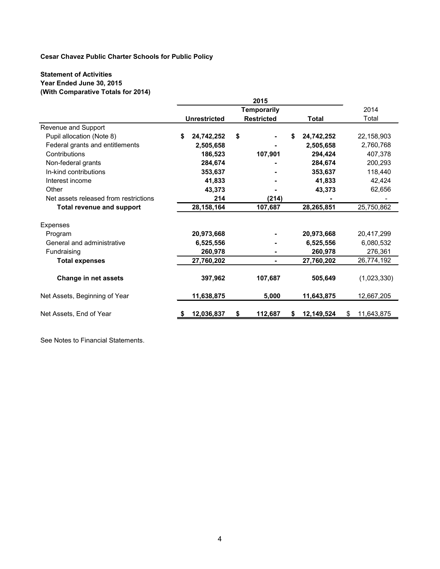## **Statement of Activities Year Ended June 30, 2015 (With Comparative Totals for 2014)**

|                                       |                     | 2015               |            |                  |
|---------------------------------------|---------------------|--------------------|------------|------------------|
|                                       |                     | <b>Temporarily</b> |            | 2014             |
|                                       | <b>Unrestricted</b> | <b>Restricted</b>  | Total      | Total            |
| Revenue and Support                   |                     |                    |            |                  |
| Pupil allocation (Note 8)             | 24,742,252<br>S     | \$<br>\$           | 24,742,252 | 22,158,903       |
| Federal grants and entitlements       | 2,505,658           |                    | 2,505,658  | 2,760,768        |
| Contributions                         | 186,523             | 107,901            | 294.424    | 407,378          |
| Non-federal grants                    | 284,674             |                    | 284,674    | 200,293          |
| In-kind contributions                 | 353,637             |                    | 353,637    | 118,440          |
| Interest income                       | 41,833              |                    | 41,833     | 42,424           |
| Other                                 | 43,373              |                    | 43,373     | 62,656           |
| Net assets released from restrictions | 214                 | (214)              |            |                  |
| <b>Total revenue and support</b>      | 28, 158, 164        | 107,687            | 28,265,851 | 25,750,862       |
| Expenses                              |                     |                    |            |                  |
| Program                               | 20,973,668          |                    | 20,973,668 | 20,417,299       |
| General and administrative            | 6,525,556           |                    | 6,525,556  | 6,080,532        |
| Fundraising                           | 260,978             |                    | 260,978    | 276,361          |
| <b>Total expenses</b>                 | 27,760,202          |                    | 27,760,202 | 26,774,192       |
|                                       |                     |                    |            |                  |
| Change in net assets                  | 397,962             | 107.687            | 505,649    | (1,023,330)      |
| Net Assets, Beginning of Year         | 11,638,875          | 5,000              | 11,643,875 | 12,667,205       |
|                                       |                     |                    |            |                  |
| Net Assets, End of Year               | 12,036,837          | 112,687<br>S<br>S. | 12,149,524 | 11,643,875<br>\$ |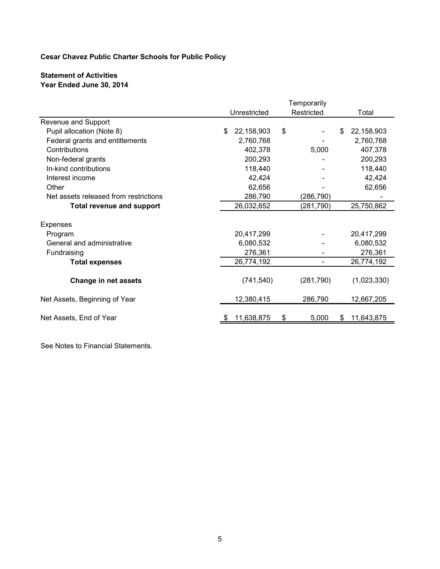# **Statement of Activities Year Ended June 30, 2014**

|                                       | Temporarily                |            |    |            |     |             |
|---------------------------------------|----------------------------|------------|----|------------|-----|-------------|
|                                       | Unrestricted<br>Restricted |            |    | Total      |     |             |
| Revenue and Support                   |                            |            |    |            |     |             |
| Pupil allocation (Note 8)             | \$                         | 22,158,903 | \$ |            | \$. | 22,158,903  |
| Federal grants and entitlements       |                            | 2,760,768  |    |            |     | 2,760,768   |
| Contributions                         |                            | 402,378    |    | 5,000      |     | 407,378     |
| Non-federal grants                    |                            | 200,293    |    |            |     | 200,293     |
| In-kind contributions                 |                            | 118,440    |    |            |     | 118,440     |
| Interest income                       |                            | 42,424     |    |            |     | 42,424      |
| Other                                 |                            | 62,656     |    |            |     | 62,656      |
| Net assets released from restrictions |                            | 286,790    |    | (286,790)  |     |             |
| <b>Total revenue and support</b>      |                            | 26,032,652 |    | (281, 790) |     | 25,750,862  |
| Expenses                              |                            |            |    |            |     |             |
| Program                               |                            | 20,417,299 |    |            |     | 20,417,299  |
| General and administrative            |                            | 6,080,532  |    |            |     | 6,080,532   |
| Fundraising                           |                            | 276,361    |    |            |     | 276,361     |
| <b>Total expenses</b>                 |                            | 26,774,192 |    |            |     | 26,774,192  |
| <b>Change in net assets</b>           |                            | (741, 540) |    | (281,790)  |     | (1,023,330) |
| Net Assets, Beginning of Year         |                            | 12,380,415 |    | 286,790    |     | 12,667,205  |
| Net Assets, End of Year               |                            | 11,638,875 | \$ | 5,000      | S   | 11,643,875  |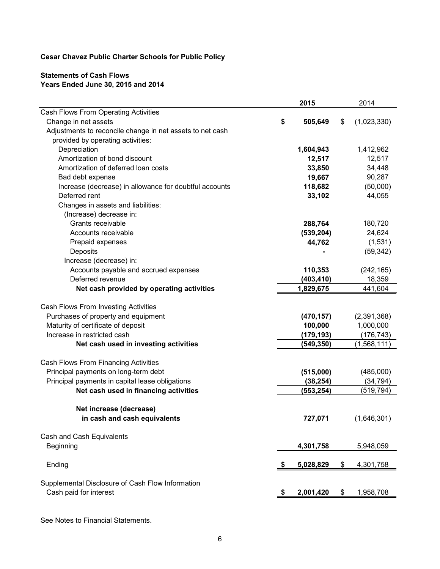# **Statements of Cash Flows Years Ended June 30, 2015 and 2014**

|                                                           |     | 2015       | 2014              |
|-----------------------------------------------------------|-----|------------|-------------------|
| Cash Flows From Operating Activities                      |     |            |                   |
| Change in net assets                                      | \$  | 505,649    | \$<br>(1,023,330) |
| Adjustments to reconcile change in net assets to net cash |     |            |                   |
| provided by operating activities:                         |     |            |                   |
| Depreciation                                              |     | 1,604,943  | 1,412,962         |
| Amortization of bond discount                             |     | 12,517     | 12,517            |
| Amortization of deferred loan costs                       |     | 33,850     | 34,448            |
| Bad debt expense                                          |     | 19,667     | 90,287            |
| Increase (decrease) in allowance for doubtful accounts    |     | 118,682    | (50,000)          |
| Deferred rent                                             |     | 33,102     | 44,055            |
| Changes in assets and liabilities:                        |     |            |                   |
| (Increase) decrease in:                                   |     |            |                   |
| Grants receivable                                         |     | 288,764    | 180,720           |
| Accounts receivable                                       |     | (539, 204) | 24,624            |
| Prepaid expenses                                          |     | 44,762     | (1,531)           |
| Deposits                                                  |     |            | (59, 342)         |
| Increase (decrease) in:                                   |     |            |                   |
| Accounts payable and accrued expenses                     |     | 110,353    | (242, 165)        |
| Deferred revenue                                          |     | (403, 410) | 18,359            |
| Net cash provided by operating activities                 |     | 1,829,675  | 441,604           |
|                                                           |     |            |                   |
| Cash Flows From Investing Activities                      |     |            |                   |
| Purchases of property and equipment                       |     | (470, 157) | (2,391,368)       |
| Maturity of certificate of deposit                        |     | 100,000    | 1,000,000         |
| Increase in restricted cash                               |     | (179, 193) | (176, 743)        |
| Net cash used in investing activities                     |     | (549, 350) | (1,568,111)       |
|                                                           |     |            |                   |
| Cash Flows From Financing Activities                      |     |            |                   |
| Principal payments on long-term debt                      |     | (515,000)  | (485,000)         |
| Principal payments in capital lease obligations           |     | (38, 254)  | (34, 794)         |
| Net cash used in financing activities                     |     | (553, 254) | (519, 794)        |
|                                                           |     |            |                   |
| Net increase (decrease)                                   |     |            |                   |
| in cash and cash equivalents                              |     | 727,071    | (1,646,301)       |
|                                                           |     |            |                   |
| Cash and Cash Equivalents                                 |     |            |                   |
| Beginning                                                 |     | 4,301,758  | 5,948,059         |
|                                                           |     |            |                   |
| Ending                                                    | -\$ | 5,028,829  | \$<br>4,301,758   |
| Supplemental Disclosure of Cash Flow Information          |     |            |                   |
| Cash paid for interest                                    |     |            | \$                |
|                                                           | -5  | 2,001,420  | 1,958,708         |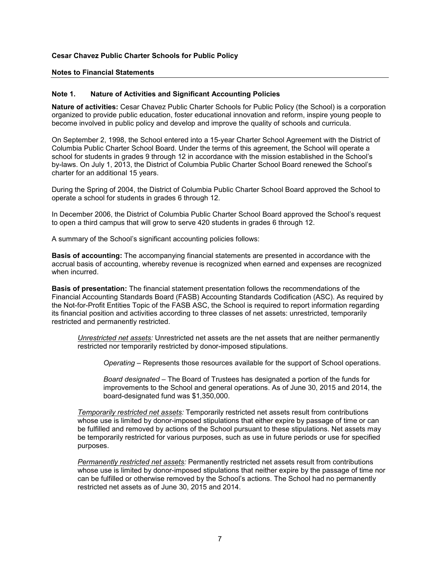#### **Notes to Financial Statements**

#### **Note 1. Nature of Activities and Significant Accounting Policies**

**Nature of activities:** Cesar Chavez Public Charter Schools for Public Policy (the School) is a corporation organized to provide public education, foster educational innovation and reform, inspire young people to become involved in public policy and develop and improve the quality of schools and curricula.

On September 2, 1998, the School entered into a 15-year Charter School Agreement with the District of Columbia Public Charter School Board. Under the terms of this agreement, the School will operate a school for students in grades 9 through 12 in accordance with the mission established in the School's by-laws. On July 1, 2013, the District of Columbia Public Charter School Board renewed the School's charter for an additional 15 years.

During the Spring of 2004, the District of Columbia Public Charter School Board approved the School to operate a school for students in grades 6 through 12.

In December 2006, the District of Columbia Public Charter School Board approved the School's request to open a third campus that will grow to serve 420 students in grades 6 through 12.

A summary of the School's significant accounting policies follows:

**Basis of accounting:** The accompanying financial statements are presented in accordance with the accrual basis of accounting, whereby revenue is recognized when earned and expenses are recognized when incurred.

**Basis of presentation:** The financial statement presentation follows the recommendations of the Financial Accounting Standards Board (FASB) Accounting Standards Codification (ASC). As required by the Not-for-Profit Entities Topic of the FASB ASC, the School is required to report information regarding its financial position and activities according to three classes of net assets: unrestricted, temporarily restricted and permanently restricted.

*Unrestricted net assets:* Unrestricted net assets are the net assets that are neither permanently restricted nor temporarily restricted by donor-imposed stipulations.

*Operating* – Represents those resources available for the support of School operations.

*Board designated* – The Board of Trustees has designated a portion of the funds for improvements to the School and general operations. As of June 30, 2015 and 2014, the board-designated fund was \$1,350,000.

*Temporarily restricted net assets:* Temporarily restricted net assets result from contributions whose use is limited by donor-imposed stipulations that either expire by passage of time or can be fulfilled and removed by actions of the School pursuant to these stipulations. Net assets may be temporarily restricted for various purposes, such as use in future periods or use for specified purposes.

*Permanently restricted net assets:* Permanently restricted net assets result from contributions whose use is limited by donor-imposed stipulations that neither expire by the passage of time nor can be fulfilled or otherwise removed by the School's actions. The School had no permanently restricted net assets as of June 30, 2015 and 2014.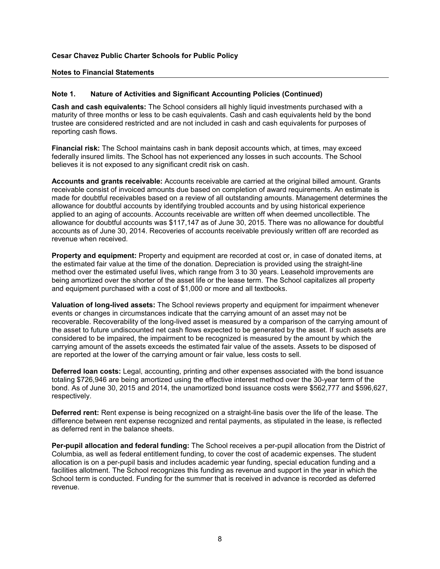#### **Notes to Financial Statements**

#### **Note 1. Nature of Activities and Significant Accounting Policies (Continued)**

**Cash and cash equivalents:** The School considers all highly liquid investments purchased with a maturity of three months or less to be cash equivalents. Cash and cash equivalents held by the bond trustee are considered restricted and are not included in cash and cash equivalents for purposes of reporting cash flows.

**Financial risk:** The School maintains cash in bank deposit accounts which, at times, may exceed federally insured limits. The School has not experienced any losses in such accounts. The School believes it is not exposed to any significant credit risk on cash.

**Accounts and grants receivable:** Accounts receivable are carried at the original billed amount. Grants receivable consist of invoiced amounts due based on completion of award requirements. An estimate is made for doubtful receivables based on a review of all outstanding amounts. Management determines the allowance for doubtful accounts by identifying troubled accounts and by using historical experience applied to an aging of accounts. Accounts receivable are written off when deemed uncollectible. The allowance for doubtful accounts was \$117,147 as of June 30, 2015. There was no allowance for doubtful accounts as of June 30, 2014. Recoveries of accounts receivable previously written off are recorded as revenue when received.

**Property and equipment:** Property and equipment are recorded at cost or, in case of donated items, at the estimated fair value at the time of the donation. Depreciation is provided using the straight-line method over the estimated useful lives, which range from 3 to 30 years. Leasehold improvements are being amortized over the shorter of the asset life or the lease term. The School capitalizes all property and equipment purchased with a cost of \$1,000 or more and all textbooks.

**Valuation of long-lived assets:** The School reviews property and equipment for impairment whenever events or changes in circumstances indicate that the carrying amount of an asset may not be recoverable. Recoverability of the long-lived asset is measured by a comparison of the carrying amount of the asset to future undiscounted net cash flows expected to be generated by the asset. If such assets are considered to be impaired, the impairment to be recognized is measured by the amount by which the carrying amount of the assets exceeds the estimated fair value of the assets. Assets to be disposed of are reported at the lower of the carrying amount or fair value, less costs to sell.

**Deferred loan costs:** Legal, accounting, printing and other expenses associated with the bond issuance totaling \$726,946 are being amortized using the effective interest method over the 30-year term of the bond. As of June 30, 2015 and 2014, the unamortized bond issuance costs were \$562,777 and \$596,627, respectively.

**Deferred rent:** Rent expense is being recognized on a straight-line basis over the life of the lease. The difference between rent expense recognized and rental payments, as stipulated in the lease, is reflected as deferred rent in the balance sheets.

**Per-pupil allocation and federal funding:** The School receives a per-pupil allocation from the District of Columbia, as well as federal entitlement funding, to cover the cost of academic expenses. The student allocation is on a per-pupil basis and includes academic year funding, special education funding and a facilities allotment. The School recognizes this funding as revenue and support in the year in which the School term is conducted. Funding for the summer that is received in advance is recorded as deferred revenue.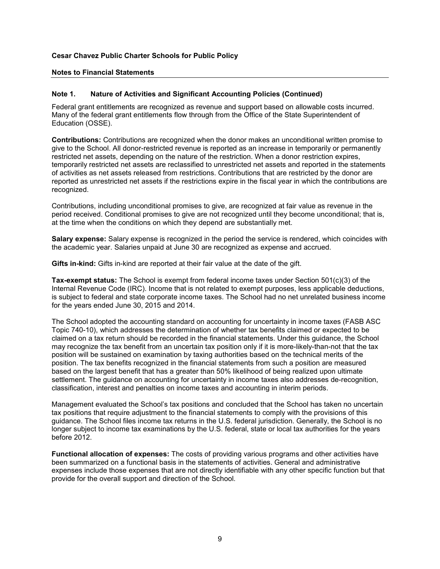#### **Notes to Financial Statements**

#### **Note 1. Nature of Activities and Significant Accounting Policies (Continued)**

Federal grant entitlements are recognized as revenue and support based on allowable costs incurred. Many of the federal grant entitlements flow through from the Office of the State Superintendent of Education (OSSE).

**Contributions:** Contributions are recognized when the donor makes an unconditional written promise to give to the School. All donor-restricted revenue is reported as an increase in temporarily or permanently restricted net assets, depending on the nature of the restriction. When a donor restriction expires, temporarily restricted net assets are reclassified to unrestricted net assets and reported in the statements of activities as net assets released from restrictions. Contributions that are restricted by the donor are reported as unrestricted net assets if the restrictions expire in the fiscal year in which the contributions are recognized.

Contributions, including unconditional promises to give, are recognized at fair value as revenue in the period received. Conditional promises to give are not recognized until they become unconditional; that is, at the time when the conditions on which they depend are substantially met.

**Salary expense:** Salary expense is recognized in the period the service is rendered, which coincides with the academic year. Salaries unpaid at June 30 are recognized as expense and accrued.

**Gifts in-kind:** Gifts in-kind are reported at their fair value at the date of the gift.

**Tax-exempt status:** The School is exempt from federal income taxes under Section 501(c)(3) of the Internal Revenue Code (IRC). Income that is not related to exempt purposes, less applicable deductions, is subject to federal and state corporate income taxes. The School had no net unrelated business income for the years ended June 30, 2015 and 2014.

The School adopted the accounting standard on accounting for uncertainty in income taxes (FASB ASC Topic 740-10), which addresses the determination of whether tax benefits claimed or expected to be claimed on a tax return should be recorded in the financial statements. Under this guidance, the School may recognize the tax benefit from an uncertain tax position only if it is more-likely-than-not that the tax position will be sustained on examination by taxing authorities based on the technical merits of the position. The tax benefits recognized in the financial statements from such a position are measured based on the largest benefit that has a greater than 50% likelihood of being realized upon ultimate settlement. The guidance on accounting for uncertainty in income taxes also addresses de-recognition, classification, interest and penalties on income taxes and accounting in interim periods.

Management evaluated the School's tax positions and concluded that the School has taken no uncertain tax positions that require adjustment to the financial statements to comply with the provisions of this guidance. The School files income tax returns in the U.S. federal jurisdiction. Generally, the School is no longer subject to income tax examinations by the U.S. federal, state or local tax authorities for the years before 2012.

**Functional allocation of expenses:** The costs of providing various programs and other activities have been summarized on a functional basis in the statements of activities. General and administrative expenses include those expenses that are not directly identifiable with any other specific function but that provide for the overall support and direction of the School.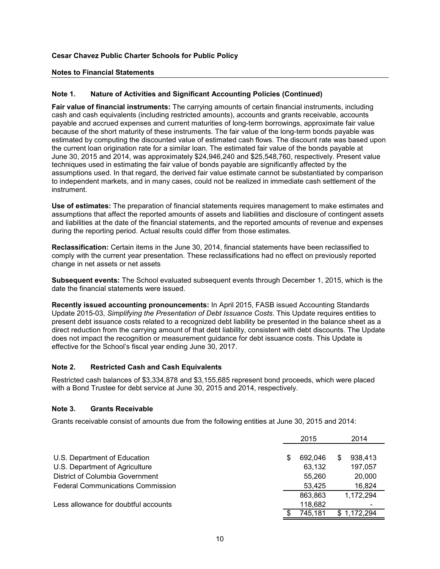#### **Notes to Financial Statements**

#### **Note 1. Nature of Activities and Significant Accounting Policies (Continued)**

**Fair value of financial instruments:** The carrying amounts of certain financial instruments, including cash and cash equivalents (including restricted amounts), accounts and grants receivable, accounts payable and accrued expenses and current maturities of long-term borrowings, approximate fair value because of the short maturity of these instruments. The fair value of the long-term bonds payable was estimated by computing the discounted value of estimated cash flows. The discount rate was based upon the current loan origination rate for a similar loan. The estimated fair value of the bonds payable at June 30, 2015 and 2014, was approximately \$24,946,240 and \$25,548,760, respectively. Present value techniques used in estimating the fair value of bonds payable are significantly affected by the assumptions used. In that regard, the derived fair value estimate cannot be substantiated by comparison to independent markets, and in many cases, could not be realized in immediate cash settlement of the instrument.

**Use of estimates:** The preparation of financial statements requires management to make estimates and assumptions that affect the reported amounts of assets and liabilities and disclosure of contingent assets and liabilities at the date of the financial statements, and the reported amounts of revenue and expenses during the reporting period. Actual results could differ from those estimates.

**Reclassification:** Certain items in the June 30, 2014, financial statements have been reclassified to comply with the current year presentation. These reclassifications had no effect on previously reported change in net assets or net assets

**Subsequent events:** The School evaluated subsequent events through December 1, 2015, which is the date the financial statements were issued.

**Recently issued accounting pronouncements:** In April 2015, FASB issued Accounting Standards Update 2015-03, *Simplifying the Presentation of Debt Issuance Costs*. This Update requires entities to present debt issuance costs related to a recognized debt liability be presented in the balance sheet as a direct reduction from the carrying amount of that debt liability, consistent with debt discounts. The Update does not impact the recognition or measurement guidance for debt issuance costs. This Update is effective for the School's fiscal year ending June 30, 2017.

#### **Note 2. Restricted Cash and Cash Equivalents**

Restricted cash balances of \$3,334,878 and \$3,155,685 represent bond proceeds, which were placed with a Bond Trustee for debt service at June 30, 2015 and 2014, respectively.

#### **Note 3. Grants Receivable**

Grants receivable consist of amounts due from the following entities at June 30, 2015 and 2014:

|                                          |   | 2015    |   | 2014      |  |
|------------------------------------------|---|---------|---|-----------|--|
|                                          |   |         |   |           |  |
| U.S. Department of Education             | S | 692.046 | S | 938,413   |  |
| U.S. Department of Agriculture           |   | 63,132  |   | 197,057   |  |
| District of Columbia Government          |   | 55.260  |   | 20,000    |  |
| <b>Federal Communications Commission</b> |   | 53,425  |   | 16,824    |  |
|                                          |   | 863,863 |   | 1,172,294 |  |
| Less allowance for doubtful accounts     |   | 118,682 |   |           |  |
|                                          |   | 745,181 |   | 1,172,294 |  |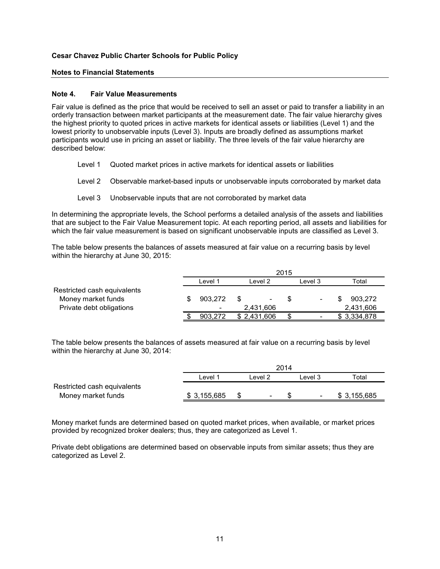#### **Notes to Financial Statements**

#### **Note 4. Fair Value Measurements**

Fair value is defined as the price that would be received to sell an asset or paid to transfer a liability in an orderly transaction between market participants at the measurement date. The fair value hierarchy gives the highest priority to quoted prices in active markets for identical assets or liabilities (Level 1) and the lowest priority to unobservable inputs (Level 3). Inputs are broadly defined as assumptions market participants would use in pricing an asset or liability. The three levels of the fair value hierarchy are described below:

- Level 1 Quoted market prices in active markets for identical assets or liabilities
- Level 2 Observable market-based inputs or unobservable inputs corroborated by market data
- Level 3 Unobservable inputs that are not corroborated by market data

In determining the appropriate levels, the School performs a detailed analysis of the assets and liabilities that are subject to the Fair Value Measurement topic. At each reporting period, all assets and liabilities for which the fair value measurement is based on significant unobservable inputs are classified as Level 3.

The table below presents the balances of assets measured at fair value on a recurring basis by level within the hierarchy at June 30, 2015:

|                             | 2015                     |             |                    |  |                          |  |             |
|-----------------------------|--------------------------|-------------|--------------------|--|--------------------------|--|-------------|
|                             | Level 1                  |             | Level <sub>2</sub> |  | Level 3                  |  | Total       |
| Restricted cash equivalents |                          |             |                    |  |                          |  |             |
| Money market funds          | 903.272                  | S           |                    |  | $\overline{\phantom{a}}$ |  | 903.272     |
| Private debt obligations    | $\overline{\phantom{0}}$ | 2,431,606   |                    |  |                          |  | 2,431,606   |
|                             | 903.272                  | \$2,431,606 |                    |  | $\overline{\phantom{0}}$ |  | \$3,334,878 |

The table below presents the balances of assets measured at fair value on a recurring basis by level within the hierarchy at June 30, 2014:

|                             |              | 2014 |         |  |                          |             |  |
|-----------------------------|--------------|------|---------|--|--------------------------|-------------|--|
|                             | ∟evel 1      |      | Level 2 |  | Level 3                  | Total       |  |
| Restricted cash equivalents |              |      |         |  |                          |             |  |
| Money market funds          | \$ 3,155,685 |      | -       |  | $\overline{\phantom{a}}$ | \$3,155,685 |  |

Money market funds are determined based on quoted market prices, when available, or market prices provided by recognized broker dealers; thus, they are categorized as Level 1.

Private debt obligations are determined based on observable inputs from similar assets; thus they are categorized as Level 2.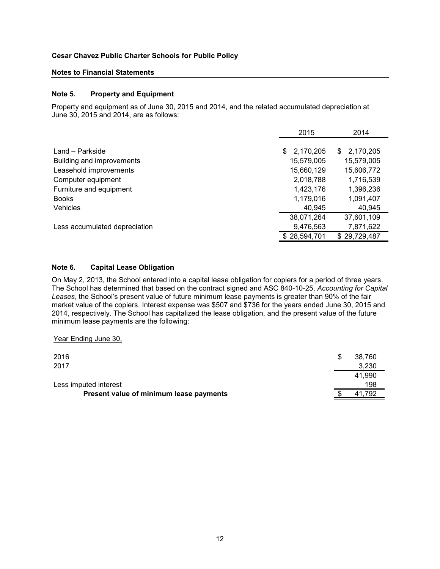#### **Notes to Financial Statements**

#### **Note 5. Property and Equipment**

Property and equipment as of June 30, 2015 and 2014, and the related accumulated depreciation at June 30, 2015 and 2014, are as follows:

|                               | 2015            | 2014            |
|-------------------------------|-----------------|-----------------|
|                               |                 |                 |
| Land - Parkside               | 2,170,205<br>S. | 2,170,205<br>S. |
| Building and improvements     | 15,579,005      | 15,579,005      |
| Leasehold improvements        | 15,660,129      | 15,606,772      |
| Computer equipment            | 2,018,788       | 1,716,539       |
| Furniture and equipment       | 1,423,176       | 1,396,236       |
| <b>Books</b>                  | 1,179,016       | 1,091,407       |
| <b>Vehicles</b>               | 40,945          | 40,945          |
|                               | 38,071,264      | 37,601,109      |
| Less accumulated depreciation | 9,476,563       | 7,871,622       |
|                               | \$28,594,701    | \$29,729,487    |

#### **Note 6. Capital Lease Obligation**

On May 2, 2013, the School entered into a capital lease obligation for copiers for a period of three years. The School has determined that based on the contract signed and ASC 840-10-25, *Accounting for Capital Leases*, the School's present value of future minimum lease payments is greater than 90% of the fair market value of the copiers. Interest expense was \$507 and \$736 for the years ended June 30, 2015 and 2014, respectively. The School has capitalized the lease obligation, and the present value of the future minimum lease payments are the following:

Year Ending June 30,

| 2016                                    | -SS | 38.760 |
|-----------------------------------------|-----|--------|
| 2017                                    |     | 3.230  |
|                                         |     | 41.990 |
| Less imputed interest                   |     | 198    |
| Present value of minimum lease payments |     | 41.792 |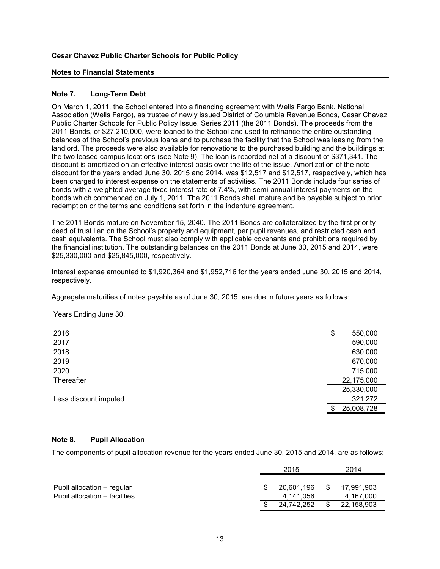#### **Notes to Financial Statements**

#### **Note 7. Long-Term Debt**

On March 1, 2011, the School entered into a financing agreement with Wells Fargo Bank, National Association (Wells Fargo), as trustee of newly issued District of Columbia Revenue Bonds, Cesar Chavez Public Charter Schools for Public Policy Issue, Series 2011 (the 2011 Bonds). The proceeds from the 2011 Bonds, of \$27,210,000, were loaned to the School and used to refinance the entire outstanding balances of the School's previous loans and to purchase the facility that the School was leasing from the landlord. The proceeds were also available for renovations to the purchased building and the buildings at the two leased campus locations (see Note 9). The loan is recorded net of a discount of \$371,341. The discount is amortized on an effective interest basis over the life of the issue. Amortization of the note discount for the years ended June 30, 2015 and 2014, was \$12,517 and \$12,517, respectively, which has been charged to interest expense on the statements of activities. The 2011 Bonds include four series of bonds with a weighted average fixed interest rate of 7.4%, with semi-annual interest payments on the bonds which commenced on July 1, 2011. The 2011 Bonds shall mature and be payable subject to prior redemption or the terms and conditions set forth in the indenture agreement.

The 2011 Bonds mature on November 15, 2040. The 2011 Bonds are collateralized by the first priority deed of trust lien on the School's property and equipment, per pupil revenues, and restricted cash and cash equivalents. The School must also comply with applicable covenants and prohibitions required by the financial institution. The outstanding balances on the 2011 Bonds at June 30, 2015 and 2014, were \$25,330,000 and \$25,845,000, respectively.

Interest expense amounted to \$1,920,364 and \$1,952,716 for the years ended June 30, 2015 and 2014, respectively.

Aggregate maturities of notes payable as of June 30, 2015, are due in future years as follows:

#### Years Ending June 30,

| 2016                  | \$<br>550,000 |
|-----------------------|---------------|
| 2017                  | 590,000       |
| 2018                  | 630,000       |
| 2019                  | 670,000       |
| 2020                  | 715,000       |
| Thereafter            | 22,175,000    |
|                       | 25,330,000    |
| Less discount imputed | 321,272       |
|                       | 25,008,728    |

#### **Note 8. Pupil Allocation**

The components of pupil allocation revenue for the years ended June 30, 2015 and 2014, are as follows:

|                               | 2015       |     | 2014       |
|-------------------------------|------------|-----|------------|
|                               |            |     |            |
| Pupil allocation – regular    | 20.601.196 | -SS | 17.991.903 |
| Pupil allocation – facilities | 4.141.056  |     | 4.167.000  |
|                               | 24.742.252 | \$  | 22,158,903 |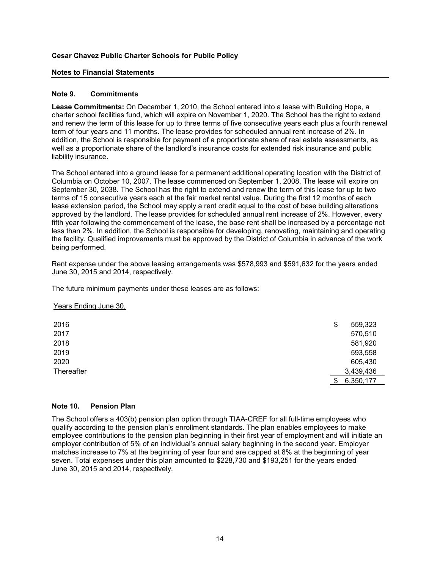#### **Notes to Financial Statements**

#### **Note 9. Commitments**

**Lease Commitments:** On December 1, 2010, the School entered into a lease with Building Hope, a charter school facilities fund, which will expire on November 1, 2020. The School has the right to extend and renew the term of this lease for up to three terms of five consecutive years each plus a fourth renewal term of four years and 11 months. The lease provides for scheduled annual rent increase of 2%. In addition, the School is responsible for payment of a proportionate share of real estate assessments, as well as a proportionate share of the landlord's insurance costs for extended risk insurance and public liability insurance.

The School entered into a ground lease for a permanent additional operating location with the District of Columbia on October 10, 2007. The lease commenced on September 1, 2008. The lease will expire on September 30, 2038. The School has the right to extend and renew the term of this lease for up to two terms of 15 consecutive years each at the fair market rental value. During the first 12 months of each lease extension period, the School may apply a rent credit equal to the cost of base building alterations approved by the landlord. The lease provides for scheduled annual rent increase of 2%. However, every fifth year following the commencement of the lease, the base rent shall be increased by a percentage not less than 2%. In addition, the School is responsible for developing, renovating, maintaining and operating the facility. Qualified improvements must be approved by the District of Columbia in advance of the work being performed.

Rent expense under the above leasing arrangements was \$578,993 and \$591,632 for the years ended June 30, 2015 and 2014, respectively.

The future minimum payments under these leases are as follows:

#### Years Ending June 30,

| 2016       | \$<br>559,323   |
|------------|-----------------|
| 2017       | 570,510         |
| 2018       | 581,920         |
| 2019       | 593,558         |
| 2020       | 605,430         |
| Thereafter | 3,439,436       |
|            | \$<br>6,350,177 |

#### **Note 10. Pension Plan**

The School offers a 403(b) pension plan option through TIAA-CREF for all full-time employees who qualify according to the pension plan's enrollment standards. The plan enables employees to make employee contributions to the pension plan beginning in their first year of employment and will initiate an employer contribution of 5% of an individual's annual salary beginning in the second year. Employer matches increase to 7% at the beginning of year four and are capped at 8% at the beginning of year seven. Total expenses under this plan amounted to \$228,730 and \$193,251 for the years ended June 30, 2015 and 2014, respectively.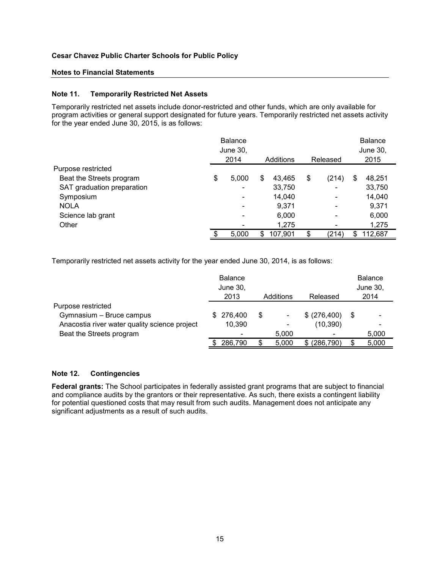#### **Notes to Financial Statements**

#### **Note 11. Temporarily Restricted Net Assets**

Temporarily restricted net assets include donor-restricted and other funds, which are only available for program activities or general support designated for future years. Temporarily restricted net assets activity for the year ended June 30, 2015, is as follows:

|                            | <b>Balance</b><br>June 30,<br>2014 |   | Additions | Released                     | <b>Balance</b><br>June 30,<br>2015 |         |
|----------------------------|------------------------------------|---|-----------|------------------------------|------------------------------------|---------|
| Purpose restricted         |                                    |   |           |                              |                                    |         |
| Beat the Streets program   | \$<br>5,000                        | S | 43.465    | \$<br>(214)                  | \$                                 | 48,251  |
| SAT graduation preparation |                                    |   | 33,750    |                              |                                    | 33,750  |
| Symposium                  | $\overline{\phantom{a}}$           |   | 14,040    |                              |                                    | 14,040  |
| <b>NOLA</b>                | $\overline{\phantom{a}}$           |   | 9.371     | $\qquad \qquad \blacksquare$ |                                    | 9.371   |
| Science lab grant          | $\qquad \qquad \blacksquare$       |   | 6,000     | $\overline{\phantom{a}}$     |                                    | 6,000   |
| Other                      |                                    |   | 1,275     |                              |                                    | 1,275   |
|                            | 5.000                              | S | 107.901   | \$<br>(214)                  | \$                                 | 112.687 |

Temporarily restricted net assets activity for the year ended June 30, 2014, is as follows:

|                                               |   | <b>Balance</b><br>June 30.<br>2013 |   | Additions                | Released      | <b>Balance</b><br>June 30,<br>2014 |       |
|-----------------------------------------------|---|------------------------------------|---|--------------------------|---------------|------------------------------------|-------|
| Purpose restricted                            |   |                                    |   |                          |               |                                    |       |
| Gymnasium - Bruce campus                      | S | 276.400                            | S | $\overline{\phantom{a}}$ | \$ (276, 400) | S                                  |       |
| Anacostia river water quality science project |   | 10,390                             |   |                          | (10, 390)     |                                    |       |
| Beat the Streets program                      |   | -                                  |   | 5.000                    |               |                                    | 5,000 |
|                                               |   | 286,790                            |   | 5,000                    | (286, 790)    | \$.                                | 5,000 |

#### **Note 12. Contingencies**

**Federal grants:** The School participates in federally assisted grant programs that are subject to financial and compliance audits by the grantors or their representative. As such, there exists a contingent liability for potential questioned costs that may result from such audits. Management does not anticipate any significant adjustments as a result of such audits.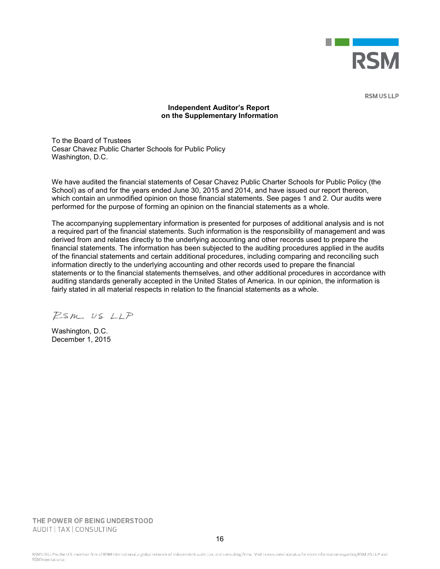

**RSM US LLP** 

#### **Independent Auditor's Report on the Supplementary Information**

To the Board of Trustees Cesar Chavez Public Charter Schools for Public Policy Washington, D.C.

We have audited the financial statements of Cesar Chavez Public Charter Schools for Public Policy (the School) as of and for the years ended June 30, 2015 and 2014, and have issued our report thereon, which contain an unmodified opinion on those financial statements. See pages 1 and 2. Our audits were performed for the purpose of forming an opinion on the financial statements as a whole.

The accompanying supplementary information is presented for purposes of additional analysis and is not a required part of the financial statements. Such information is the responsibility of management and was derived from and relates directly to the underlying accounting and other records used to prepare the financial statements. The information has been subjected to the auditing procedures applied in the audits of the financial statements and certain additional procedures, including comparing and reconciling such information directly to the underlying accounting and other records used to prepare the financial statements or to the financial statements themselves, and other additional procedures in accordance with auditing standards generally accepted in the United States of America. In our opinion, the information is fairly stated in all material respects in relation to the financial statements as a whole.

 $P_{sm}$  US  $LLP$ 

Washington, D.C. December 1, 2015